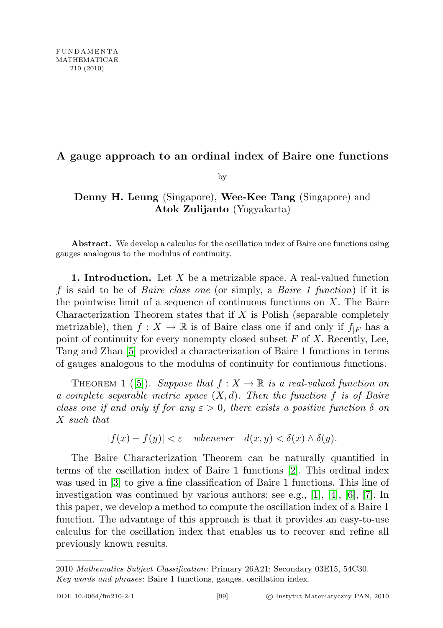## A gauge approach to an ordinal index of Baire one functions

by

## Denny H. Leung (Singapore), Wee-Kee Tang (Singapore) and Atok Zulijanto (Yogyakarta)

Abstract. We develop a calculus for the oscillation index of Baire one functions using gauges analogous to the modulus of continuity.

**1. Introduction.** Let  $X$  be a metrizable space. A real-valued function f is said to be of Baire class one (or simply, a Baire 1 function) if it is the pointwise limit of a sequence of continuous functions on  $X$ . The Baire Characterization Theorem states that if X is Polish (separable completely metrizable), then  $f: X \to \mathbb{R}$  is of Baire class one if and only if  $f_{|F}$  has a point of continuity for every nonempty closed subset  $F$  of  $X$ . Recently, Lee, Tang and Zhao [\[5\]](#page-10-0) provided a characterization of Baire 1 functions in terms of gauges analogous to the modulus of continuity for continuous functions.

THEOREM 1 ([\[5\]](#page-10-0)). Suppose that  $f: X \to \mathbb{R}$  is a real-valued function on a complete separable metric space  $(X, d)$ . Then the function f is of Baire class one if and only if for any  $\varepsilon > 0$ , there exists a positive function  $\delta$  on X such that

$$
|f(x) - f(y)| < \varepsilon \quad \text{whenever} \quad d(x, y) < \delta(x) \land \delta(y).
$$

The Baire Characterization Theorem can be naturally quantified in terms of the oscillation index of Baire 1 functions [\[2\]](#page-9-0). This ordinal index was used in [\[3\]](#page-9-1) to give a fine classification of Baire 1 functions. This line of investigation was continued by various authors: see e.g., [\[1\]](#page-9-2), [\[4\]](#page-10-1), [\[6\]](#page-10-2), [\[7\]](#page-10-3). In this paper, we develop a method to compute the oscillation index of a Baire 1 function. The advantage of this approach is that it provides an easy-to-use calculus for the oscillation index that enables us to recover and refine all previously known results.

<sup>2010</sup> Mathematics Subject Classification: Primary 26A21; Secondary 03E15, 54C30. Key words and phrases: Baire 1 functions, gauges, oscillation index.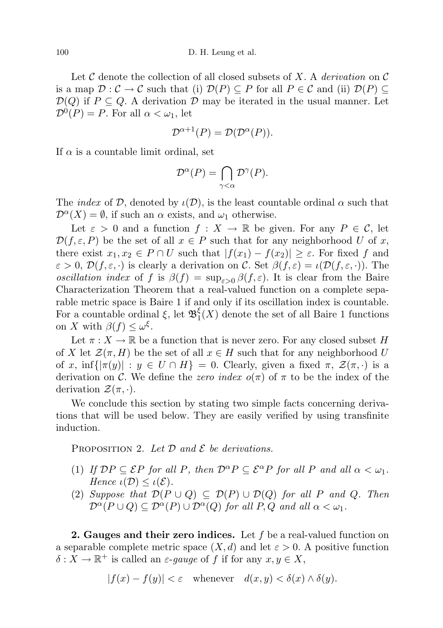Let C denote the collection of all closed subsets of X. A *derivation* on C is a map  $\mathcal{D}: \mathcal{C} \to \mathcal{C}$  such that (i)  $\mathcal{D}(P) \subseteq P$  for all  $P \in \mathcal{C}$  and (ii)  $\mathcal{D}(P) \subseteq$  $\mathcal{D}(Q)$  if  $P \subseteq Q$ . A derivation D may be iterated in the usual manner. Let  $\mathcal{D}^0(P) = P$ . For all  $\alpha < \omega_1$ , let

$$
\mathcal{D}^{\alpha+1}(P) = \mathcal{D}(\mathcal{D}^{\alpha}(P)).
$$

If  $\alpha$  is a countable limit ordinal, set

$$
\mathcal{D}^{\alpha}(P) = \bigcap_{\gamma < \alpha} \mathcal{D}^{\gamma}(P).
$$

The *index* of D, denoted by  $\iota(\mathcal{D})$ , is the least countable ordinal  $\alpha$  such that  $\mathcal{D}^{\alpha}(X) = \emptyset$ , if such an  $\alpha$  exists, and  $\omega_1$  otherwise.

Let  $\varepsilon > 0$  and a function  $f: X \to \mathbb{R}$  be given. For any  $P \in \mathcal{C}$ , let  $\mathcal{D}(f, \varepsilon, P)$  be the set of all  $x \in P$  such that for any neighborhood U of x, there exist  $x_1, x_2 \in P \cap U$  such that  $|f(x_1) - f(x_2)| \geq \varepsilon$ . For fixed f and  $\varepsilon > 0$ ,  $\mathcal{D}(f, \varepsilon, \cdot)$  is clearly a derivation on C. Set  $\beta(f, \varepsilon) = \iota(\mathcal{D}(f, \varepsilon, \cdot))$ . The oscillation index of f is  $\beta(f) = \sup_{\varepsilon > 0} \beta(f, \varepsilon)$ . It is clear from the Baire Characterization Theorem that a real-valued function on a complete separable metric space is Baire 1 if and only if its oscillation index is countable. For a countable ordinal  $\xi$ , let  $\mathfrak{B}^{\xi}_{1}$  $\frac{1}{1}(X)$  denote the set of all Baire 1 functions on X with  $\beta(f) \leq \omega^{\xi}$ .

Let  $\pi: X \to \mathbb{R}$  be a function that is never zero. For any closed subset H of X let  $\mathcal{Z}(\pi, H)$  be the set of all  $x \in H$  such that for any neighborhood U of x, inf $\{|\pi(y)| : y \in U \cap H\} = 0$ . Clearly, given a fixed  $\pi$ ,  $\mathcal{Z}(\pi, \cdot)$  is a derivation on C. We define the zero index  $o(\pi)$  of  $\pi$  to be the index of the derivation  $\mathcal{Z}(\pi, \cdot)$ .

We conclude this section by stating two simple facts concerning derivations that will be used below. They are easily verified by using transfinite induction.

<span id="page-1-0"></span>PROPOSITION 2. Let  $\mathcal D$  and  $\mathcal E$  be derivations.

- (1) If  $\mathcal{D}P \subseteq \mathcal{E}P$  for all P, then  $\mathcal{D}^{\alpha}P \subseteq \mathcal{E}^{\alpha}P$  for all P and all  $\alpha < \omega_1$ . Hence  $\iota(\mathcal{D}) \leq \iota(\mathcal{E}).$
- (2) Suppose that  $\mathcal{D}(P \cup Q) \subseteq \mathcal{D}(P) \cup \mathcal{D}(Q)$  for all P and Q. Then  $\mathcal{D}^{\alpha}(P \cup Q) \subseteq \mathcal{D}^{\alpha}(P) \cup \mathcal{D}^{\alpha}(Q)$  for all  $P, Q$  and all  $\alpha < \omega_1$ .

**2. Gauges and their zero indices.** Let  $f$  be a real-valued function on a separable complete metric space  $(X, d)$  and let  $\varepsilon > 0$ . A positive function  $\delta: X \to \mathbb{R}^+$  is called an  $\varepsilon$ -gauge of f if for any  $x, y \in X$ ,

$$
|f(x) - f(y)| < \varepsilon \quad \text{whenever} \quad d(x, y) < \delta(x) \land \delta(y).
$$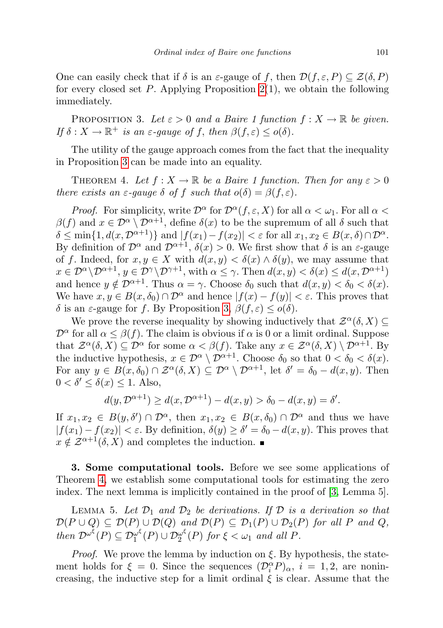One can easily check that if  $\delta$  is an  $\varepsilon$ -gauge of f, then  $\mathcal{D}(f, \varepsilon, P) \subseteq \mathcal{Z}(\delta, P)$ for every closed set P. Applying Proposition  $2(1)$ , we obtain the following immediately.

<span id="page-2-0"></span>PROPOSITION 3. Let  $\varepsilon > 0$  and a Baire 1 function  $f: X \to \mathbb{R}$  be given. If  $\delta: X \to \mathbb{R}^+$  is an  $\varepsilon$ -gauge of f, then  $\beta(f,\varepsilon) \leq o(\delta)$ .

The utility of the gauge approach comes from the fact that the inequality in Proposition [3](#page-2-0) can be made into an equality.

<span id="page-2-1"></span>THEOREM 4. Let  $f: X \to \mathbb{R}$  be a Baire 1 function. Then for any  $\varepsilon > 0$ there exists an  $\varepsilon$ -gauge  $\delta$  of f such that  $o(\delta) = \beta(f, \varepsilon)$ .

*Proof.* For simplicity, write  $\mathcal{D}^{\alpha}$  for  $\mathcal{D}^{\alpha}(f, \varepsilon, X)$  for all  $\alpha < \omega_1$ . For all  $\alpha <$  $\beta(f)$  and  $x \in \mathcal{D}^{\alpha} \setminus \mathcal{D}^{\alpha+1}$ , define  $\delta(x)$  to be the supremum of all  $\delta$  such that  $\delta \leq \min\{1, d(x, \mathcal{D}^{\alpha+1})\}$  and  $|f(x_1)-f(x_2)| < \varepsilon$  for all  $x_1, x_2 \in B(x, \delta) \cap \mathcal{D}^{\alpha}$ . By definition of  $\mathcal{D}^{\alpha}$  and  $\mathcal{D}^{\alpha+1}$ ,  $\delta(x) > 0$ . We first show that  $\delta$  is an  $\varepsilon$ -gauge of f. Indeed, for  $x, y \in X$  with  $d(x, y) < \delta(x) \wedge \delta(y)$ , we may assume that  $x \in \mathcal{D}^{\alpha} \setminus \mathcal{D}^{\alpha+1}, y \in \mathcal{D}^{\gamma} \setminus \mathcal{D}^{\gamma+1}, \text{ with } \alpha \leq \gamma. \text{ Then } d(x, y) < \delta(x) \leq d(x, \mathcal{D}^{\alpha+1})$ and hence  $y \notin \mathcal{D}^{\alpha+1}$ . Thus  $\alpha = \gamma$ . Choose  $\delta_0$  such that  $d(x, y) < \delta_0 < \delta(x)$ . We have  $x, y \in B(x, \delta_0) \cap \mathcal{D}^{\alpha}$  and hence  $|f(x) - f(y)| < \varepsilon$ . This proves that δ is an  $\varepsilon$ -gauge for f. By Proposition [3,](#page-2-0)  $\beta(f,\varepsilon) \leq o(\delta)$ .

We prove the reverse inequality by showing inductively that  $\mathcal{Z}^{\alpha}(\delta, X) \subseteq$  $\mathcal{D}^{\alpha}$  for all  $\alpha \leq \beta(f)$ . The claim is obvious if  $\alpha$  is 0 or a limit ordinal. Suppose that  $\mathcal{Z}^{\alpha}(\delta, X) \subseteq \mathcal{D}^{\alpha}$  for some  $\alpha < \beta(f)$ . Take any  $x \in \mathcal{Z}^{\alpha}(\delta, X) \setminus \mathcal{D}^{\alpha+1}$ . By the inductive hypothesis,  $x \in \mathcal{D}^{\alpha} \setminus \mathcal{D}^{\alpha+1}$ . Choose  $\delta_0$  so that  $0 < \delta_0 < \delta(x)$ . For any  $y \in B(x,\delta_0) \cap \mathcal{Z}^{\alpha}(\delta,X) \subseteq \mathcal{D}^{\alpha} \setminus \mathcal{D}^{\alpha+1}$ , let  $\delta' = \delta_0 - d(x,y)$ . Then  $0 < \delta' \leq \delta(x) \leq 1$ . Also,

$$
d(y, \mathcal{D}^{\alpha+1}) \ge d(x, \mathcal{D}^{\alpha+1}) - d(x, y) > \delta_0 - d(x, y) = \delta'.
$$

If  $x_1, x_2 \in B(y, \delta') \cap \mathcal{D}^{\alpha}$ , then  $x_1, x_2 \in B(x, \delta_0) \cap \mathcal{D}^{\alpha}$  and thus we have  $|f(x_1) - f(x_2)| < \varepsilon$ . By definition,  $\delta(y) \ge \delta' = \delta_0 - d(x, y)$ . This proves that  $x \notin \mathcal{Z}^{\alpha+1}(\delta, X)$  and completes the induction.

3. Some computational tools. Before we see some applications of Theorem [4,](#page-2-1) we establish some computational tools for estimating the zero index. The next lemma is implicitly contained in the proof of [\[3,](#page-9-1) Lemma 5].

<span id="page-2-2"></span>LEMMA 5. Let  $\mathcal{D}_1$  and  $\mathcal{D}_2$  be derivations. If  $\mathcal D$  is a derivation so that  $\mathcal{D}(P \cup Q) \subseteq \mathcal{D}(P) \cup \mathcal{D}(Q)$  and  $\mathcal{D}(P) \subseteq \mathcal{D}_1(P) \cup \mathcal{D}_2(P)$  for all P and Q, then  $\mathcal{D}^{\omega^{\xi}}(P) \subseteq \mathcal{D}_1^{\omega^{\xi}}$  $\frac{\omega^\xi}{1}(P)\cup\mathcal{D}_2^{\omega^\xi}$  $\frac{\omega^c}{2}(P)$  for  $\xi < \omega_1$  and all P.

*Proof.* We prove the lemma by induction on  $\xi$ . By hypothesis, the statement holds for  $\xi = 0$ . Since the sequences  $(\mathcal{D}_i^{\alpha} P)_{\alpha}$ ,  $i = 1, 2$ , are nonincreasing, the inductive step for a limit ordinal  $\xi$  is clear. Assume that the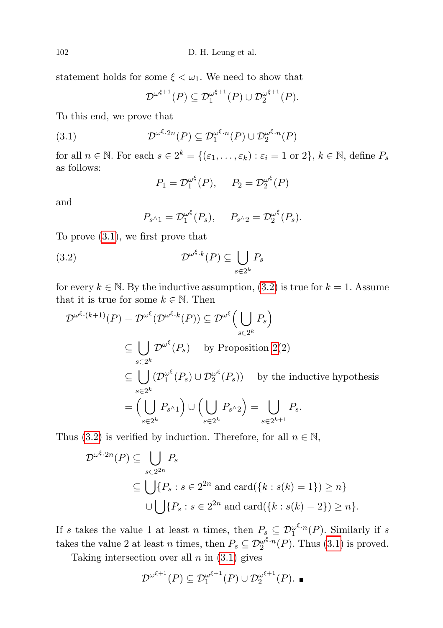statement holds for some  $\xi < \omega_1$ . We need to show that

<span id="page-3-0"></span>
$$
\mathcal{D}^{\omega^{\xi+1}}(P) \subseteq \mathcal{D}_1^{\omega^{\xi+1}}(P) \cup \mathcal{D}_2^{\omega^{\xi+1}}(P).
$$

To this end, we prove that

(3.1) 
$$
\mathcal{D}^{\omega^{\xi} \cdot 2n}(P) \subseteq \mathcal{D}_1^{\omega^{\xi} \cdot n}(P) \cup \mathcal{D}_2^{\omega^{\xi} \cdot n}(P)
$$

for all  $n \in \mathbb{N}$ . For each  $s \in 2^k = \{(\varepsilon_1, \ldots, \varepsilon_k) : \varepsilon_i = 1 \text{ or } 2\}, k \in \mathbb{N}$ , define  $P_s$ as follows:

$$
P_1 = \mathcal{D}_1^{\omega^{\xi}}(P), \quad P_2 = \mathcal{D}_2^{\omega^{\xi}}(P)
$$

and

<span id="page-3-1"></span>
$$
P_{s^{\wedge}1} = \mathcal{D}_1^{\omega^{\xi}}(P_s), \quad P_{s^{\wedge}2} = \mathcal{D}_2^{\omega^{\xi}}(P_s).
$$

To prove [\(3.1\)](#page-3-0), we first prove that

(3.2) 
$$
\mathcal{D}^{\omega^{\xi} \cdot k}(P) \subseteq \bigcup_{s \in 2^k} P_s
$$

for every  $k \in \mathbb{N}$ . By the inductive assumption, [\(3.2\)](#page-3-1) is true for  $k = 1$ . Assume that it is true for some  $k \in \mathbb{N}$ . Then

$$
\mathcal{D}^{\omega^{\xi} \cdot (k+1)}(P) = \mathcal{D}^{\omega^{\xi}}(\mathcal{D}^{\omega^{\xi} \cdot k}(P)) \subseteq \mathcal{D}^{\omega^{\xi}}\left(\bigcup_{s \in 2^k} P_s\right)
$$
  
\n
$$
\subseteq \bigcup_{s \in 2^k} \mathcal{D}^{\omega^{\xi}}(P_s) \text{ by Proposition 2(2)}
$$
  
\n
$$
\subseteq \bigcup_{s \in 2^k} (\mathcal{D}_1^{\omega^{\xi}}(P_s) \cup \mathcal{D}_2^{\omega^{\xi}}(P_s)) \text{ by the inductive hypothesis}
$$
  
\n
$$
= \left(\bigcup_{s \in 2^k} P_{s^{\wedge}1}\right) \cup \left(\bigcup_{s \in 2^k} P_{s^{\wedge}2}\right) = \bigcup_{s \in 2^{k+1}} P_s.
$$

Thus [\(3.2\)](#page-3-1) is verified by induction. Therefore, for all  $n \in \mathbb{N}$ ,

$$
\mathcal{D}^{\omega^{\xi} \cdot 2n}(P) \subseteq \bigcup_{s \in 2^{2n}} P_s
$$
  
\n
$$
\subseteq \bigcup \{ P_s : s \in 2^{2n} \text{ and } \text{card}(\{k : s(k) = 1\}) \ge n \}
$$
  
\n
$$
\cup \bigcup \{ P_s : s \in 2^{2n} \text{ and } \text{card}(\{k : s(k) = 2\}) \ge n \}.
$$

If s takes the value 1 at least n times, then  $P_s \subseteq \mathcal{D}_1^{\omega^{\xi} \cdot n}(P)$ . Similarly if s takes the value 2 at least *n* times, then  $P_s \subseteq \mathcal{D}_2^{\omega^{\xi} \cdot n}(P)$ . Thus [\(3.1\)](#page-3-0) is proved.

Taking intersection over all  $n$  in  $(3.1)$  gives

$$
\mathcal{D}^{\omega^{\xi+1}}(P) \subseteq \mathcal{D}_1^{\omega^{\xi+1}}(P) \cup \mathcal{D}_2^{\omega^{\xi+1}}(P). \blacksquare
$$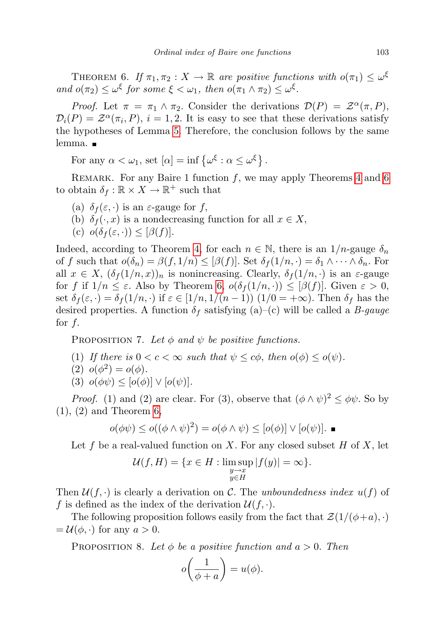<span id="page-4-0"></span>THEOREM 6. If  $\pi_1, \pi_2 : X \to \mathbb{R}$  are positive functions with  $o(\pi_1) \leq \omega^{\xi}$ and  $o(\pi_2) \leq \omega^{\xi}$  for some  $\xi < \omega_1$ , then  $o(\pi_1 \wedge \pi_2) \leq \omega^{\xi}$ .

Proof. Let  $\pi = \pi_1 \wedge \pi_2$ . Consider the derivations  $\mathcal{D}(P) = \mathcal{Z}^{\alpha}(\pi, P)$ ,  $\mathcal{D}_i(P) = \mathcal{Z}^{\alpha}(\pi_i, P), i = 1, 2$ . It is easy to see that these derivations satisfy the hypotheses of Lemma [5.](#page-2-2) Therefore, the conclusion follows by the same lemma. ■

For any  $\alpha < \omega_1$ , set  $[\alpha] = \inf \{ \omega^{\xi} : \alpha \leq \omega^{\xi} \}.$ 

REMARK. For any Baire 1 function  $f$ , we may apply Theorems [4](#page-2-1) and [6](#page-4-0) to obtain  $\delta_f : \mathbb{R} \times X \to \mathbb{R}^+$  such that

- (a)  $\delta_f(\varepsilon, \cdot)$  is an  $\varepsilon$ -gauge for  $f$ ,
- (b)  $\delta_f(\cdot, x)$  is a nondecreasing function for all  $x \in X$ ,

(c) 
$$
o(\delta_f(\varepsilon, \cdot)) \leq [\beta(f)].
$$

Indeed, according to Theorem [4,](#page-2-1) for each  $n \in \mathbb{N}$ , there is an 1/n-gauge  $\delta_n$ of f such that  $o(\delta_n) = \beta(f, 1/n) \leq [\beta(f)]$ . Set  $\delta_f(1/n, \cdot) = \delta_1 \wedge \cdots \wedge \delta_n$ . For all  $x \in X$ ,  $(\delta_f(1/n, x))_n$  is nonincreasing. Clearly,  $\delta_f(1/n, \cdot)$  is an  $\varepsilon$ -gauge for f if  $1/n \leq \varepsilon$ . Also by Theorem [6,](#page-4-0)  $o(\delta_f(1/n, \cdot)) \leq [\beta(f)]$ . Given  $\varepsilon > 0$ , set  $\delta_f(\varepsilon, \cdot) = \delta_f(1/n, \cdot)$  if  $\varepsilon \in [1/n, 1/(n-1))$   $(1/0 = +\infty)$ . Then  $\delta_f$  has the desired properties. A function  $\delta_f$  satisfying (a)–(c) will be called a *B*-gauge for  $f$ .

<span id="page-4-2"></span>PROPOSITION 7. Let  $\phi$  and  $\psi$  be positive functions.

(1) If there is  $0 < c < \infty$  such that  $\psi \leq c\phi$ , then  $o(\phi) \leq o(\psi)$ .

$$
(2) \ \ o(\phi^2) = o(\phi).
$$

(3)  $o(\phi\psi) \leq [o(\phi)] \vee [o(\psi)].$ 

*Proof.* (1) and (2) are clear. For (3), observe that  $(\phi \wedge \psi)^2 \leq \phi \psi$ . So by  $(1), (2)$  and Theorem [6,](#page-4-0)

$$
o(\phi\psi) \leq o((\phi \wedge \psi)^2) = o(\phi \wedge \psi) \leq [o(\phi)] \vee [o(\psi)].
$$

Let f be a real-valued function on X. For any closed subset H of X, let

$$
\mathcal{U}(f, H) = \{ x \in H : \limsup_{\substack{y \to x \\ y \in H}} |f(y)| = \infty \}.
$$

Then  $\mathcal{U}(f, \cdot)$  is clearly a derivation on C. The unboundedness index  $u(f)$  of f is defined as the index of the derivation  $\mathcal{U}(f, \cdot)$ .

The following proposition follows easily from the fact that  $\mathcal{Z}(1/(\phi+a), \cdot)$  $=\mathcal{U}(\phi,\cdot)$  for any  $a>0$ .

<span id="page-4-1"></span>PROPOSITION 8. Let  $\phi$  be a positive function and  $a > 0$ . Then

$$
o\bigg(\frac{1}{\phi+a}\bigg)=u(\phi).
$$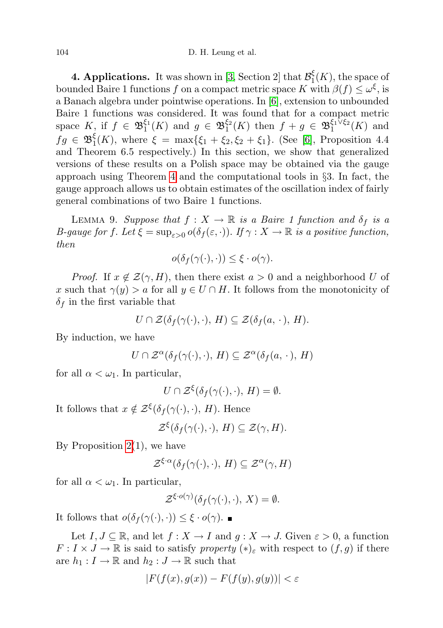104 D. H. Leung et al.

**4. Applications.** It was shown in [\[3,](#page-9-1) Section 2] that  $\mathcal{B}_1^{\xi}$  $\mathcal{L}_1(K)$ , the space of bounded Baire 1 functions f on a compact metric space K with  $\beta(f) \leq \omega^{\xi}$ , is a Banach algebra under pointwise operations. In [\[6\]](#page-10-2), extension to unbounded Baire 1 functions was considered. It was found that for a compact metric space  $K$ , if  $f \in \mathfrak{B}_1^{\xi_1}(K)$  and  $g \in \mathfrak{B}_1^{\xi_2}(K)$  then  $f + g \in \mathfrak{B}_1^{\xi_1 \xi_2}(K)$  and  $fg \in \mathfrak{B}^{\xi}_1$  $\zeta_1(K)$ , where  $\xi = \max{\{\xi_1 + \xi_2, \xi_2 + \xi_1\}}$ . (See [\[6\]](#page-10-2), Proposition 4.4 and Theorem 6.5 respectively.) In this section, we show that generalized versions of these results on a Polish space may be obtained via the gauge approach using Theorem [4](#page-2-1) and the computational tools in  $\S$ 3. In fact, the gauge approach allows us to obtain estimates of the oscillation index of fairly general combinations of two Baire 1 functions.

<span id="page-5-0"></span>LEMMA 9. Suppose that  $f : X \to \mathbb{R}$  is a Baire 1 function and  $\delta_f$  is a B-gauge for f. Let  $\xi = \sup_{\varepsilon > 0} o(\delta_f(\varepsilon, \cdot))$ . If  $\gamma : X \to \mathbb{R}$  is a positive function, then

$$
o(\delta_f(\gamma(\cdot),\cdot)) \le \xi \cdot o(\gamma).
$$

*Proof.* If  $x \notin \mathcal{Z}(\gamma, H)$ , then there exist  $a > 0$  and a neighborhood U of x such that  $\gamma(y) > a$  for all  $y \in U \cap H$ . It follows from the monotonicity of  $\delta_f$  in the first variable that

$$
U \cap \mathcal{Z}(\delta_f(\gamma(\cdot), \cdot), H) \subseteq \mathcal{Z}(\delta_f(a, \cdot), H).
$$

By induction, we have

$$
U \cap \mathcal{Z}^{\alpha}(\delta_f(\gamma(\cdot), \cdot), H) \subseteq \mathcal{Z}^{\alpha}(\delta_f(a, \cdot), H)
$$

for all  $\alpha < \omega_1$ . In particular,

$$
U \cap \mathcal{Z}^{\xi}(\delta_f(\gamma(\cdot), \cdot), H) = \emptyset.
$$

It follows that  $x \notin \mathcal{Z}^{\xi}(\delta_f(\gamma(\cdot), \cdot), H)$ . Hence

$$
\mathcal{Z}^{\xi}(\delta_f(\gamma(\cdot),\cdot), H) \subseteq \mathcal{Z}(\gamma, H).
$$

By Proposition  $2(1)$ , we have

$$
\mathcal{Z}^{\xi\cdot\alpha}(\delta_f(\gamma(\cdot),\cdot),\,H)\subseteq\mathcal{Z}^{\alpha}(\gamma,H)
$$

for all  $\alpha < \omega_1$ . In particular,

$$
\mathcal{Z}^{\xi \cdot o(\gamma)}(\delta_f(\gamma(\cdot), \cdot), X) = \emptyset.
$$

It follows that  $o(\delta_f(\gamma(\cdot), \cdot)) \leq \xi \cdot o(\gamma)$ .

Let  $I, J \subseteq \mathbb{R}$ , and let  $f: X \to I$  and  $g: X \to J$ . Given  $\varepsilon > 0$ , a function  $F: I \times J \to \mathbb{R}$  is said to satisfy property  $(*)_{\varepsilon}$  with respect to  $(f, g)$  if there are  $h_1 : I \to \mathbb{R}$  and  $h_2 : J \to \mathbb{R}$  such that

$$
|F(f(x),g(x)) - F(f(y),g(y))| < \varepsilon
$$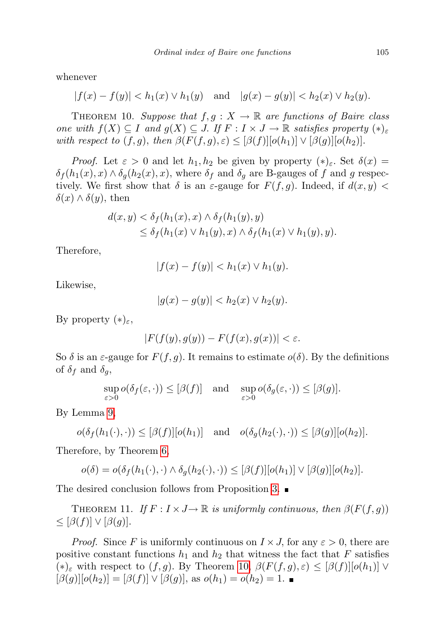whenever

$$
|f(x) - f(y)| < h_1(x) \lor h_1(y) \quad \text{and} \quad |g(x) - g(y)| < h_2(x) \lor h_2(y).
$$

<span id="page-6-0"></span>THEOREM 10. Suppose that  $f, g: X \to \mathbb{R}$  are functions of Baire class one with  $f(X) \subseteq I$  and  $g(X) \subseteq J$ . If  $F : I \times J \to \mathbb{R}$  satisfies property  $(*)_{\varepsilon}$ with respect to  $(f, g)$ , then  $\beta(F(f, g), \varepsilon) \leq [\beta(f)][o(h_1)] \vee [\beta(g)][o(h_2)].$ 

*Proof.* Let  $\varepsilon > 0$  and let  $h_1, h_2$  be given by property  $(*)_\varepsilon$ . Set  $\delta(x) =$  $\delta_f(h_1(x), x) \wedge \delta_q(h_2(x), x)$ , where  $\delta_f$  and  $\delta_q$  are B-gauges of f and g respectively. We first show that  $\delta$  is an  $\varepsilon$ -gauge for  $F(f,g)$ . Indeed, if  $d(x,y)$  $\delta(x) \wedge \delta(y)$ , then

$$
d(x,y) < \delta_f(h_1(x),x) \wedge \delta_f(h_1(y),y)
$$
  
\n
$$
\leq \delta_f(h_1(x) \vee h_1(y),x) \wedge \delta_f(h_1(x) \vee h_1(y),y).
$$

Therefore,

$$
|f(x) - f(y)| < h_1(x) \lor h_1(y).
$$

Likewise,

$$
|g(x) - g(y)| < h_2(x) \lor h_2(y).
$$

By property  $(*)_\varepsilon$ ,

$$
|F(f(y),g(y)) - F(f(x),g(x))| < \varepsilon.
$$

So  $\delta$  is an  $\varepsilon$ -gauge for  $F(f, g)$ . It remains to estimate  $o(\delta)$ . By the definitions of  $\delta_f$  and  $\delta_g$ ,

$$
\sup_{\varepsilon>0}o(\delta_f(\varepsilon,\cdot))\leq[\beta(f)]\quad\text{and}\quad\sup_{\varepsilon>0}o(\delta_g(\varepsilon,\cdot))\leq[\beta(g)].
$$

By Lemma [9,](#page-5-0)

$$
o(\delta_f(h_1(\cdot), \cdot)) \leq [\beta(f)][o(h_1)] \quad \text{and} \quad o(\delta_g(h_2(\cdot), \cdot)) \leq [\beta(g)][o(h_2)].
$$

Therefore, by Theorem [6,](#page-4-0)

$$
o(\delta) = o(\delta_f(h_1(\cdot), \cdot) \wedge \delta_g(h_2(\cdot), \cdot)) \leq [\beta(f)][o(h_1)] \vee [\beta(g)][o(h_2)].
$$

The desired conclusion follows from Proposition [3.](#page-2-0)

<span id="page-6-1"></span>THEOREM 11. If  $F: I \times J \to \mathbb{R}$  is uniformly continuous, then  $\beta(F(f, q))$  $\leq [\beta(f)] \vee [\beta(g)].$ 

*Proof.* Since F is uniformly continuous on  $I \times J$ , for any  $\varepsilon > 0$ , there are positive constant functions  $h_1$  and  $h_2$  that witness the fact that F satisfies (\*)<sub>ε</sub> with respect to  $(f, g)$ . By Theorem [10](#page-6-0),  $\beta(F(f, g), \varepsilon) \leq [\beta(f)][o(h_1)] \vee$  $[\beta(g)][o(h_2)] = [\beta(f)] \vee [\beta(g)]$ , as  $o(h_1) = o(h_2) = 1$ .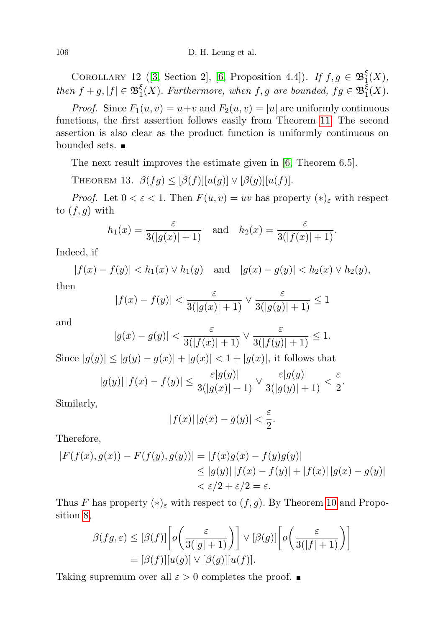COROLLARY 12 ([\[3,](#page-9-1) Section 2], [\[6,](#page-10-2) Proposition 4.4]). If  $f, g \in \mathfrak{B}^{\xi}_{1}$  $\frac{\varsigma}{1}(X),$ then  $f + g$ ,  $|f| \in \mathfrak{B}^{\xi}_{1}$  $\frac{\xi}{1}(X)$ . Furthermore, when f, g are bounded,  $fg \in \mathfrak{B}^{\xi}_1$  $\frac{5}{1}(X).$ 

*Proof.* Since  $F_1(u, v) = u+v$  and  $F_2(u, v) = |u|$  are uniformly continuous functions, the first assertion follows easily from Theorem [11.](#page-6-1) The second assertion is also clear as the product function is uniformly continuous on bounded sets.

The next result improves the estimate given in [\[6,](#page-10-2) Theorem 6.5].

THEOREM 13.  $\beta(fg) \leq [\beta(f)][u(g)] \vee [\beta(g)][u(f)].$ 

*Proof.* Let  $0 < \varepsilon < 1$ . Then  $F(u, v) = uv$  has property  $(\ast)_{\varepsilon}$  with respect to  $(f, g)$  with

$$
h_1(x) = \frac{\varepsilon}{3(|g(x)| + 1)}
$$
 and  $h_2(x) = \frac{\varepsilon}{3(|f(x)| + 1)}$ .

Indeed, if

 $|f(x) - f(y)| < h_1(x) \vee h_1(y)$  and  $|g(x) - g(y)| < h_2(x) \vee h_2(y)$ ,

then

$$
|f(x) - f(y)| < \frac{\varepsilon}{3(|g(x)| + 1)} \vee \frac{\varepsilon}{3(|g(y)| + 1)} \le 1
$$

and

$$
|g(x) - g(y)| < \frac{\varepsilon}{3(|f(x)| + 1)} \vee \frac{\varepsilon}{3(|f(y)| + 1)} \le 1.
$$

Since  $|g(y)| \leq |g(y) - g(x)| + |g(x)| < 1 + |g(x)|$ , it follows that

$$
|g(y)||f(x)-f(y)| \leq \frac{\varepsilon|g(y)|}{3(|g(x)|+1)} \vee \frac{\varepsilon|g(y)|}{3(|g(y)|+1)} < \frac{\varepsilon}{2}.
$$

Similarly,

$$
|f(x)| |g(x) - g(y)| < \frac{\varepsilon}{2}.
$$

Therefore,

$$
|F(f(x), g(x)) - F(f(y), g(y))| = |f(x)g(x) - f(y)g(y)|
$$
  
\n
$$
\leq |g(y)| |f(x) - f(y)| + |f(x)| |g(x) - g(y)|
$$
  
\n
$$
< \varepsilon/2 + \varepsilon/2 = \varepsilon.
$$

Thus F has property  $(*)_{\varepsilon}$  with respect to  $(f, g)$ . By Theorem [10](#page-6-0) and Proposition [8,](#page-4-1)

$$
\beta(fg,\varepsilon) \leq [\beta(f)] \left[ o\left(\frac{\varepsilon}{3(|g|+1)}\right) \right] \vee [\beta(g)] \left[ o\left(\frac{\varepsilon}{3(|f|+1)}\right) \right]
$$

$$
= [\beta(f)][u(g)] \vee [\beta(g)][u(f)].
$$

Taking supremum over all  $\varepsilon > 0$  completes the proof.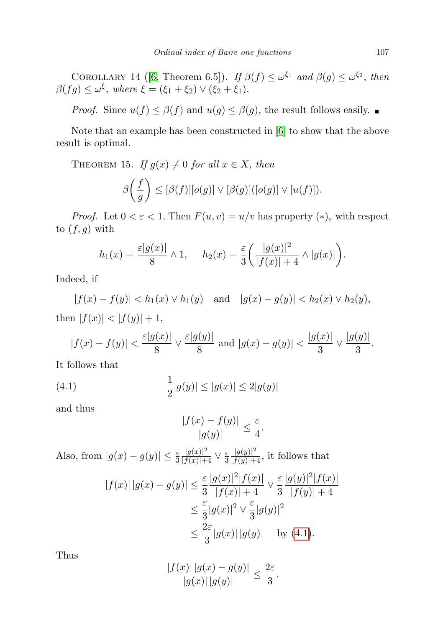COROLLARY 14 ([\[6,](#page-10-2) Theorem 6.5]). If  $\beta(f) \leq \omega^{\xi_1}$  and  $\beta(g) \leq \omega^{\xi_2}$ , then  $\beta(fg) \le \omega^{\xi}$ , where  $\xi = (\xi_1 + \xi_2) \vee (\xi_2 + \xi_1)$ .

*Proof.* Since  $u(f) \leq \beta(f)$  and  $u(g) \leq \beta(g)$ , the result follows easily.

Note that an example has been constructed in [\[6\]](#page-10-2) to show that the above result is optimal.

THEOREM 15. If  $g(x) \neq 0$  for all  $x \in X$ , then

$$
\beta\bigg(\frac{f}{g}\bigg) \leq [\beta(f)][o(g)] \vee [\beta(g)]([o(g)] \vee [u(f)]).
$$

*Proof.* Let  $0 < \varepsilon < 1$ . Then  $F(u, v) = u/v$  has property  $(*)_\varepsilon$  with respect to  $(f, g)$  with

$$
h_1(x) = \frac{\varepsilon |g(x)|}{8} \wedge 1, \quad h_2(x) = \frac{\varepsilon}{3} \left( \frac{|g(x)|^2}{|f(x)|+4} \wedge |g(x)| \right).
$$

Indeed, if

 $|f(x) - f(y)| < h_1(x) \vee h_1(y)$  and  $|g(x) - g(y)| < h_2(x) \vee h_2(y)$ , then  $|f(x)| < |f(y)| + 1$ ,

$$
|f(x) - f(y)| < \frac{\varepsilon |g(x)|}{8} \vee \frac{\varepsilon |g(y)|}{8}
$$
 and  $|g(x) - g(y)| < \frac{|g(x)|}{3} \vee \frac{|g(y)|}{3}$ .

It follows that

(4.1) 
$$
\frac{1}{2}|g(y)| \le |g(x)| \le 2|g(y)|
$$

and thus

<span id="page-8-0"></span>
$$
\frac{|f(x) - f(y)|}{|g(y)|} \le \frac{\varepsilon}{4}.
$$

Also, from  $|g(x) - g(y)| \leq \frac{\varepsilon}{3}$  $\frac{|g(x)|^2}{|f(x)|+4} \vee \frac{\varepsilon}{3}$ 3  $\frac{|g(y)|^2}{|f(y)|+4}$ , it follows that

$$
|f(x)| |g(x) - g(y)| \le \frac{\varepsilon}{3} \frac{|g(x)|^2 |f(x)|}{|f(x)| + 4} \vee \frac{\varepsilon}{3} \frac{|g(y)|^2 |f(x)|}{|f(y)| + 4}
$$
  

$$
\le \frac{\varepsilon}{3} |g(x)|^2 \vee \frac{\varepsilon}{3} |g(y)|^2
$$
  

$$
\le \frac{2\varepsilon}{3} |g(x)| |g(y)| \quad \text{by (4.1)}.
$$

Thus

$$
\frac{|f(x)| |g(x) - g(y)|}{|g(x)| |g(y)|} \le \frac{2\varepsilon}{3}.
$$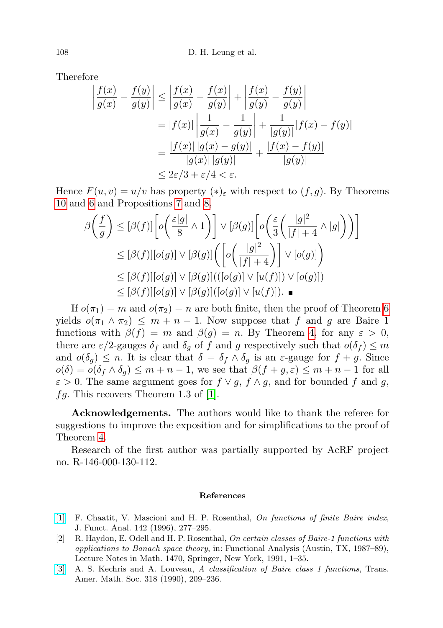Therefore

$$
\left| \frac{f(x)}{g(x)} - \frac{f(y)}{g(y)} \right| \le \left| \frac{f(x)}{g(x)} - \frac{f(x)}{g(y)} \right| + \left| \frac{f(x)}{g(y)} - \frac{f(y)}{g(y)} \right|
$$
  
=  $|f(x)| \left| \frac{1}{g(x)} - \frac{1}{g(y)} \right| + \frac{1}{|g(y)|} |f(x) - f(y)|$   
=  $\frac{|f(x)| |g(x) - g(y)|}{|g(x)| |g(y)|} + \frac{|f(x) - f(y)|}{|g(y)|}$   
 $\le 2\varepsilon/3 + \varepsilon/4 < \varepsilon.$ 

Hence  $F(u, v) = u/v$  has property  $(*)_\varepsilon$  with respect to  $(f, g)$ . By Theorems [10](#page-6-0) and [6](#page-4-0) and Propositions [7](#page-4-2) and [8,](#page-4-1)

$$
\beta\left(\frac{f}{g}\right) \leq [\beta(f)] \bigg[ o\bigg(\frac{\varepsilon|g|}{8} \wedge 1\bigg) \bigg] \vee [\beta(g)] \bigg[ o\bigg(\frac{\varepsilon}{3}\bigg(\frac{|g|^2}{|f|+4} \wedge |g|\bigg)\bigg)\bigg] \bigg]
$$
  
\n
$$
\leq [\beta(f)][o(g)] \vee [\beta(g)] \bigg(\bigg[ o\bigg(\frac{|g|^2}{|f|+4}\bigg)\bigg] \vee [o(g)] \bigg)
$$
  
\n
$$
\leq [\beta(f)][o(g)] \vee [\beta(g)] \big( ([o(g)] \vee [u(f)]) \vee [o(g)] \big)
$$
  
\n
$$
\leq [\beta(f)][o(g)] \vee [\beta(g)] \big( [o(g)] \vee [u(f)] \big).
$$

If  $o(\pi_1) = m$  and  $o(\pi_2) = n$  are both finite, then the proof of Theorem [6](#page-4-0) yields  $o(\pi_1 \wedge \pi_2) \leq m + n - 1$ . Now suppose that f and g are Baire 1 functions with  $\beta(f) = m$  and  $\beta(g) = n$ . By Theorem [4,](#page-2-1) for any  $\varepsilon > 0$ , there are  $\varepsilon/2$ -gauges  $\delta_f$  and  $\delta_g$  of f and g respectively such that  $o(\delta_f) \leq m$ and  $o(\delta_g) \leq n$ . It is clear that  $\delta = \delta_f \wedge \delta_g$  is an  $\varepsilon$ -gauge for  $f + g$ . Since  $o(\delta) = o(\delta_f \wedge \delta_q) \leq m + n - 1$ , we see that  $\beta(f + g, \varepsilon) \leq m + n - 1$  for all  $\varepsilon > 0$ . The same argument goes for  $f \vee g$ ,  $f \wedge g$ , and for bounded f and g,  $fg.$  This recovers Theorem 1.3 of [\[1\]](#page-9-2).

Acknowledgements. The authors would like to thank the referee for suggestions to improve the exposition and for simplifications to the proof of Theorem [4.](#page-2-1)

Research of the first author was partially supported by AcRF project no. R-146-000-130-112.

## References

- <span id="page-9-2"></span>[\[1\]](http://dx.doi.org/10.1006/jfan.1996.0150) F. Chaatit, V. Mascioni and H. P. Rosenthal, On functions of finite Baire index, J. Funct. Anal. 142 (1996), 277–295.
- <span id="page-9-0"></span>[2] R. Haydon, E. Odell and H. P. Rosenthal, On certain classes of Baire-1 functions with applications to Banach space theory, in: Functional Analysis (Austin, TX, 1987–89), Lecture Notes in Math. 1470, Springer, New York, 1991, 1–35.
- <span id="page-9-1"></span>[\[3\]](http://dx.doi.org/10.2307/2001236) A. S. Kechris and A. Louveau, A classification of Baire class 1 functions, Trans. Amer. Math. Soc. 318 (1990), 209–236.